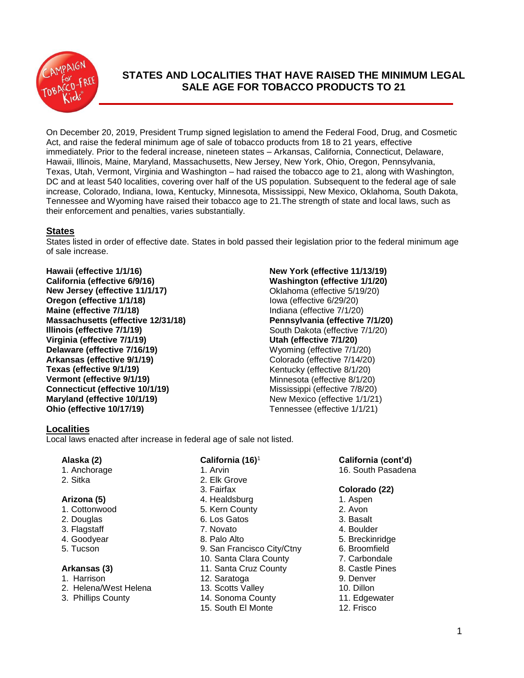

# **STATES AND LOCALITIES THAT HAVE RAISED THE MINIMUM LEGAL SALE AGE FOR TOBACCO PRODUCTS TO 21**

On December 20, 2019, President Trump signed legislation to amend the Federal Food, Drug, and Cosmetic Act, and raise the federal minimum age of sale of tobacco products from 18 to 21 years, effective immediately. Prior to the federal increase, nineteen states – Arkansas, California, Connecticut, Delaware, Hawaii, Illinois, Maine, Maryland, Massachusetts, New Jersey, New York, Ohio, Oregon, Pennsylvania, Texas, Utah, Vermont, Virginia and Washington – had raised the tobacco age to 21, along with Washington, DC and at least 540 localities, covering over half of the US population. Subsequent to the federal age of sale increase, Colorado, Indiana, Iowa, Kentucky, Minnesota, Mississippi, New Mexico, Oklahoma, South Dakota, Tennessee and Wyoming have raised their tobacco age to 21.The strength of state and local laws, such as their enforcement and penalties, varies substantially.

# **States**

States listed in order of effective date. States in bold passed their legislation prior to the federal minimum age of sale increase.

**Hawaii (effective 1/1/16) California (effective 6/9/16) New Jersey (effective 11/1/17) Oregon (effective 1/1/18) Maine (effective 7/1/18) Massachusetts (effective 12/31/18) Illinois (effective 7/1/19) Virginia (effective 7/1/19) Delaware (effective 7/16/19) Arkansas (effective 9/1/19) Texas (effective 9/1/19) Vermont (effective 9/1/19) Connecticut (effective 10/1/19) Maryland (effective 10/1/19) Ohio (effective 10/17/19)**

## **New York (effective 11/13/19) Washington (effective 1/1/20)** Oklahoma (effective 5/19/20) Iowa (effective 6/29/20) Indiana (effective 7/1/20) **Pennsylvania (effective 7/1/20)** South Dakota (effective 7/1/20) **Utah (effective 7/1/20)** Wyoming (effective 7/1/20) Colorado (effective 7/14/20) Kentucky (effective 8/1/20) Minnesota (effective 8/1/20) Mississippi (effective 7/8/20) New Mexico (effective 1/1/21) Tennessee (effective 1/1/21)

# **Localities**

Local laws enacted after increase in federal age of sale not listed.

# **Alaska (2)**

- 1. Anchorage
- 2. Sitka

# **Arizona (5)**

- 1. Cottonwood
- 2. Douglas
- 3. Flagstaff
- 4. Goodyear
- 5. Tucson

# **Arkansas (3)**

- 1. Harrison
- 2. Helena/West Helena
- 3. Phillips County

# **California (16)** 1

- 1. Arvin 2. Elk Grove 3. Fairfax
- 
- 4. Healdsburg
- 5. Kern County 6. Los Gatos
- 7. Novato
- 
- 8. Palo Alto
- 9. San Francisco City/Ctny
- 10. Santa Clara County
- 11. Santa Cruz County
- 12. Saratoga
- 13. Scotts Valley
- 14. Sonoma County
- 15. South El Monte

# **California (cont'd)**

16. South Pasadena

# **Colorado (22)**

- 1. Aspen
- 2. Avon
- 3. Basalt
- 4. Boulder
- 5. Breckinridge
- 6. Broomfield
- 7. Carbondale 8. Castle Pines
- 9. Denver
- 10. Dillon
- 11. Edgewater
- 12. Frisco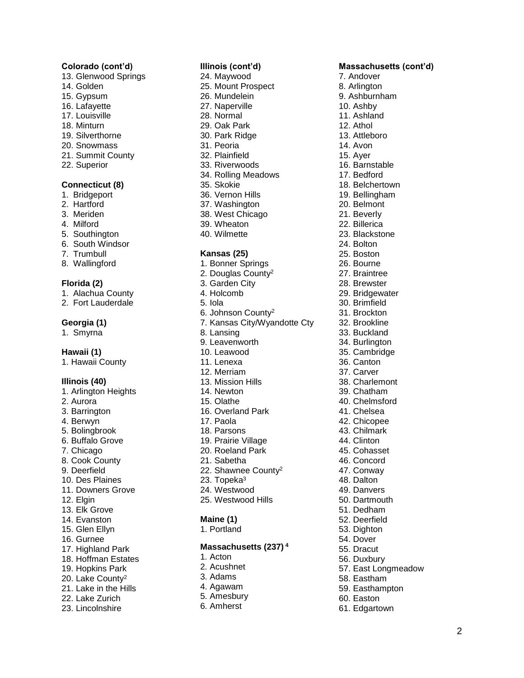## **Colorado (cont'd)**

- 13. Glenwood Springs
- 14. Golden
- 15. Gypsum
- 16. Lafayette
- 17. Louisville
- 18. Minturn
- 19. Silverthorne
- 20. Snowmass
- 21. Summit County
- 22. Superior

## **Connecticut (8 )**

- 1. Bridgeport
- 2. Hartford
- 3. Meriden
- 4. Milford
- 5. Southington
- 6. South Windsor
- 7. Trumbull
- 8. Wallingford

### **Florida (2 )**

- 1. Alachua County
- 2. Fort Lauderdale

# **Georgia (1)**

1. Smyrna

# **Hawaii (1)**

1. Hawaii County

# **Illinois (40 )**

1. Arlington Heights 2. Aurora 3. Barrington 4. Berwyn 5. Bolingbrook 6. Buffalo Grove 7. Chicago 8. Cook County 9. Deerfield 10. Des Plaines 11. Downers Grove 12. Elgin 13. Elk Grove 14. Evanston 15. Glen Ellyn 16. Gurnee 17. Highland Park 18. Hoffman Estates 19. Hopkins Park 20. Lake County<sup>2</sup> 21. Lake in the Hills 22. Lake Zurich 23. Lincolnshire

## **Illinois (cont'd)**

24. Maywood 25. Mount Prospect 26. Mundelein 27. Naperville 28. Normal 29. Oak Park 30. Park Ridge 31. Peoria 32. Plainfield 33. Riverwoods 34. Rolling Meadows 35. Skokie 36. Vernon Hills 37. Washington 38. West Chicago 39. Wheaton 40. Wilmette

### **Kansas ( 2 5 )**

1. Bonner Springs 2. Douglas County<sup>2</sup> 3. Garden City 4. Holcomb 5. Iola 6. Johnson County 2 7. Kansas City/Wyandotte Cty 8. Lansing 9. Leavenworth 10. Leawood 11. Lenexa 12. Merriam 13. Mission Hills 14. Newton 15. Olathe 16. Overland Park 17. Paola 18. Parsons 19. Prairie Village 20. Roeland Park 21. Sabetha 22. Shawnee County<sup>2</sup> 23. Topeka<sup>3</sup> 24. Westwood 25. Westwood Hills **Maine (1)** 1. Portland **Massachusetts (237 ) 4** 1. Acton 2. Acushnet

- 3. Adams
- 4. Agawam
- 5. Amesbury
- 6. Amhers t

7. Andover 8. Arlington 9. Ashburnham 10. Ashby 11. Ashland 12. Athol 13. Attleboro 14. Avon 15. Ayer 16. Barnstable 17. Bedford 18. Belchertown 19. Bellingham 20. Belmont 21. Beverly 22. Billerica 23. Blackstone 24. Bolton 25. Boston 26. Bourne 27. Braintree 28. Brewster 29. Bridgewater 30. Brimfield 31. Brockton 32. Brookline 33. Buckland 34. Burlington 35. Cambridge 36. Canton 37. Carver 38. Charlemont 39. Chatham 40. Chelmsford 41. Chelsea 42. Chicopee 43. Chilmark 44. Clinton 45. Cohasset 46. Concord 47. Conway 48. Dalton 49. Danvers 50. Dartmouth 51. Dedham 52. Deerfield 53. Dighton

- 54. Dover
- 55. Dracut
- 56. Duxbury
- 57. East Longmeadow
- 58. Eastham
- 59. Easthampton
- 60. Easton
- 61. Edgartown

# **Massachusetts (cont'd)**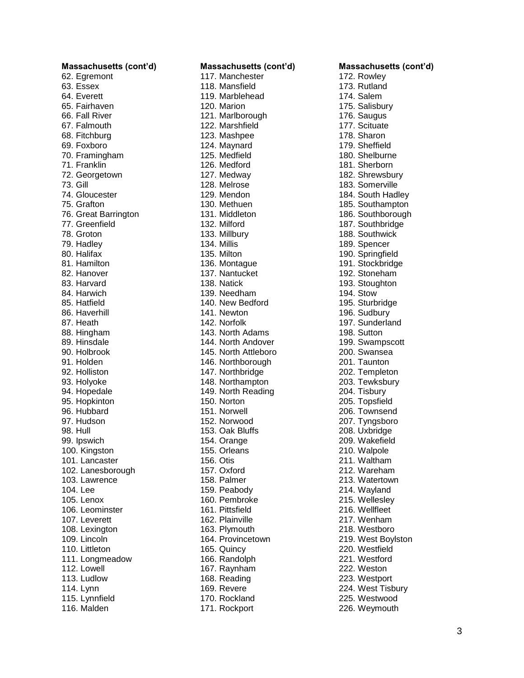**Massachusetts (cont'd)** 62. Egremont 63. Essex 64. Everett 65. Fairhaven 66. Fall River 67. Falmouth 68. Fitchburg 69. Foxboro 70. Framingham 71. Franklin 72. Georgetown 73. Gill 74. Gloucester 75. Grafton 76. Great Barrington 77. Greenfield 78. Groton 79. Hadley 80. Halifax 81. Hamilton 82. Hanover 83. Harvard 84. Harwich 85. Hatfield 86. Haverhill 87. Heath 88. Hingham 89. Hinsdale 90. Holbrook 91. Holden 92. Holliston 93. Holyoke 94. Hopedale 95. Hopkinton 96. Hubbard 97. Hudson 98. Hull 99. Ipswich 100. Kingston 101. Lancaster 102. Lanesborough 103. Lawrence 104. Lee 105. Lenox 106. Leominster 107. Leverett 108. Lexington 109. Lincoln 110. Littleton 111. Longmeadow 112. Lowell 113. Ludlow 114. Lynn 115. Lynnfield 116. Malden

**Massachusetts (cont'd)** 117. Manchester 118. Mansfield 119. Marblehead 120. Marion 121. Marlborough 122. Marshfield 123. Mashpee 124. Maynard 125. Medfield 126. Medford 127. Medway 128. Melrose 129. Mendon 130. Methuen 131. Middleton 132. Milford 133. Millbury 134. Millis 135. Milton 136. Montague 137. Nantucket 138. Natick 139. Needham 140. New Bedford 141. Newton 142. Norfolk 143. North Adams 144. North Andover 145. North Attleboro 146. Northborough 147. Northbridge 148. Northampton 149. North Reading 150. Norton 151. Norwell 152. Norwood 153. Oak Bluffs 154. Orange 155. Orleans 156. Otis 157. Oxford 158. Palmer 159. Peabody 160. Pembroke 161. Pittsfield 162. Plainville 163. Plymouth 164. Provincetown 165. Quincy 166. Randolph 167. Raynham 168. Reading 169. Revere 170. Rockland 171. Rockport

**Massachusetts (cont'd)** 172. Rowley 173. Rutland 174. Salem 175. Salisbury 176. Saugus 177. Scituate 178. Sharon 179. Sheffield 180. Shelburne 181. Sherborn 182. Shrewsbury 183. Somerville 184. South Hadley 185. Southampton 186. Southborough 187. Southbridge 188. Southwick 189. Spencer 190. Springfield 191. Stockbridge 192. Stoneham 193. Stoughton 194. Stow 195. Sturbridge 196. Sudbury 197. Sunderland 198. Sutton 199. Swampscott 200. Swansea 201. Taunton 202. Templeton 203. Tewksbury 204. Tisbury 205. Topsfield 206. Townsend 207. Tyngsboro 208. Uxbridge 209. Wakefield 210. Walpole 211. Waltham 212. Wareham 213. Watertown 214. Wayland 215. Wellesley 216. Wellfleet 217. Wenham 218. Westboro 219. West Boylston 220. Westfield 221. Westford 222. Weston 223. Westport 224. West Tisbury 225. Westwood 226. Weymouth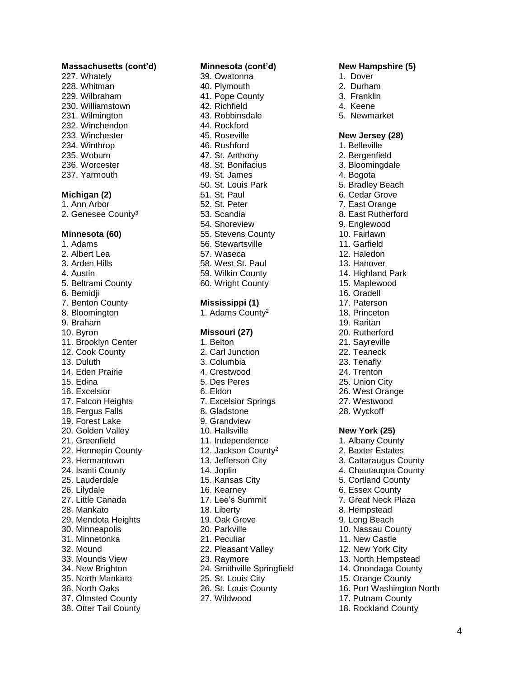### **Massachusetts (cont'd)**

227. Whately 228. Whitman 229. Wilbraham 230. Williamstown 231. Wilmington 232. Winchendon 233. Winchester 234. Winthrop 235. Woburn 236. Worcester 237. Yarmouth

### **Michigan (2 )**

1. Ann Arbor 2. Genesee County<sup>3</sup>

#### **Minnesota (60 )**

1. Adams 2. Albert Lea 3. Arden Hills 4. Austin 5. Beltrami County 6. Bemidji 7. Benton County 8. Bloomington 9. Braham 10. Byron 11. Brooklyn Center 12. Cook County 13. Duluth 14. Eden Prairie 15. Edina 16. Excelsior 17. Falcon Heights 18. Fergus Falls 19. Forest Lake 20. Golden Valley 21. Greenfield 22. Hennepin County 23. Hermantown 24. Isanti County 25. Lauderdale 26. Lilydale 27. Little Canada 28. Mankato 29. Mendota Heights 30. Minneapolis 31. Minnetonka 32. Mound 33. Mounds View 34. New Brighton 35. North Mankato 36. North Oaks 37. Olmsted County 38. Otter Tail County

### **Minnesota (cont'd)**

39. Owatonna 40. Plymouth 41. Pope County 42. Richfield 43. Robbinsdale 44. Rockford 45. Roseville 46. Rushford 47. St. Anthony 48. St. Bonifacius 49. St. James 50. St. Louis Park 51. St. Paul 52. St. Peter 53. Scandia 54. Shoreview 55. Stevens County 56. Stewartsville 57. Waseca 58. West St. Paul 59. Wilkin County 60. Wright County

### **Mississippi (1)**

1. Adams County 2

#### **Missouri (27 )**

1. Belton 2. Carl Junction 3. Columbia 4. Crestwood 5. Des Peres 6. Eldon 7. Excelsior Springs 8. Gladstone 9. Grandview 10. Hallsville 11. Independence 12. Jackson County 2 13. Jefferson City 14. Joplin 15. Kansas City 16. Kearney 17. Lee's Summit 18. Liberty 19. Oak Grove 20. Parkville 21. Peculiar 22. Pleasant Valley 23. Raymore 24. Smithville Springfield 25. St. Louis City 26. St. Louis County 27. Wildwood

#### **New Hampshire (5 )**

- 1. Dover
- 2. Durham
- 3. Franklin
- 4. Keene
- 5. Newmarket

# **New Jersey (28)**

- 1. Belleville 2. Bergenfield 3. Bloomingdale 4. Bogota 5. Bradley Beach 6. Cedar Grove 7. East Orange 8. East Rutherford 9. Englewood 10. Fairlawn 11. Garfield 12. Haledon 13. Hanover 14. Highland Park 15. Maplewood 16. Oradell 17. Paterson 18. Princeton 19. Raritan 20. Rutherford 21. Sayreville 22. Teaneck 23. Tenafly 24. Trenton 25. Union City 26. West Orange 27. Westwood 28. Wyckof f **New York (25 )** 1. Albany County 2. Baxter Estates 3. Cattaraugus County 4. Chautauqua County 5. Cortland County 6. Essex County 7. Great Neck Plaza 8. Hempstead 9. Long Beach 10. Nassau County 11. New Castle 12. New York City 13. North Hempstead 14. Onondaga County 15. Orange County
- 16. Port Washington North
- 17. Putnam County
- 18. Rockland County